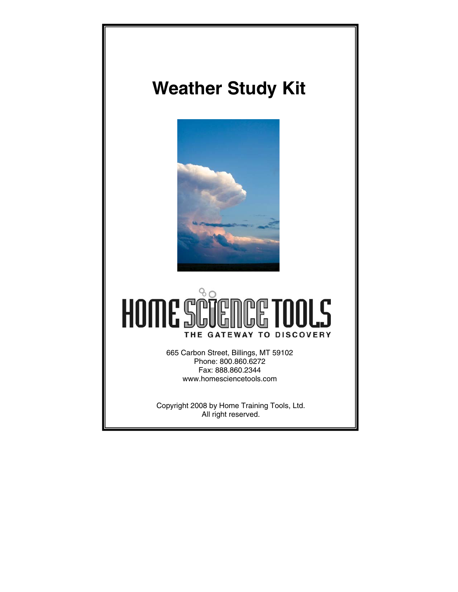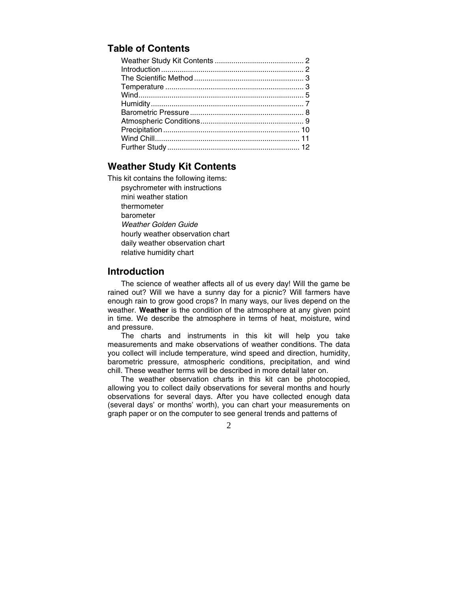# **Table of Contents**

## **Weather Study Kit Contents**

This kit contains the following items:

psychrometer with instructions mini weather station thermometer barometer *Weather Golden Guide* hourly weather observation chart daily weather observation chart relative humidity chart

#### **Introduction**

The science of weather affects all of us every day! Will the game be rained out? Will we have a sunny day for a picnic? Will farmers have enough rain to grow good crops? In many ways, our lives depend on the weather. **Weather** is the condition of the atmosphere at any given point in time. We describe the atmosphere in terms of heat, moisture, wind and pressure.

 The charts and instruments in this kit will help you take measurements and make observations of weather conditions. The data you collect will include temperature, wind speed and direction, humidity, barometric pressure, atmospheric conditions, precipitation, and wind chill. These weather terms will be described in more detail later on.

 The weather observation charts in this kit can be photocopied, allowing you to collect daily observations for several months and hourly observations for several days. After you have collected enough data (several days' or months' worth), you can chart your measurements on graph paper or on the computer to see general trends and patterns of

 $\mathcal{L}$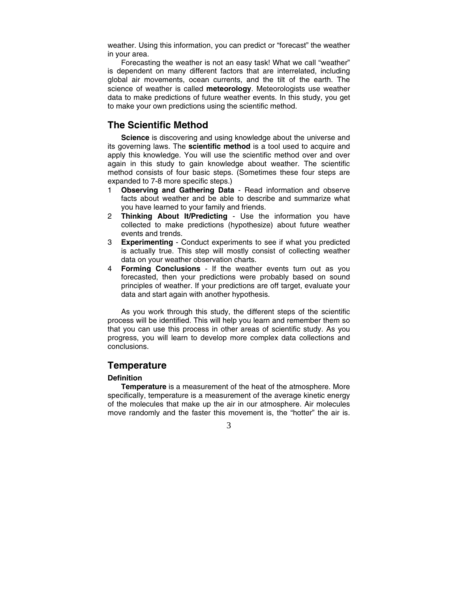weather. Using this information, you can predict or "forecast" the weather in your area.

 Forecasting the weather is not an easy task! What we call "weather" is dependent on many different factors that are interrelated, including global air movements, ocean currents, and the tilt of the earth. The science of weather is called **meteorology**. Meteorologists use weather data to make predictions of future weather events. In this study, you get to make your own predictions using the scientific method.

### **The Scientific Method**

**Science** is discovering and using knowledge about the universe and its governing laws. The **scientific method** is a tool used to acquire and apply this knowledge. You will use the scientific method over and over again in this study to gain knowledge about weather. The scientific method consists of four basic steps. (Sometimes these four steps are expanded to 7-8 more specific steps.)

- 1 **Observing and Gathering Data** Read information and observe facts about weather and be able to describe and summarize what you have learned to your family and friends.
- 2 **Thinking About It/Predicting** Use the information you have collected to make predictions (hypothesize) about future weather events and trends.
- 3 **Experimenting** Conduct experiments to see if what you predicted is actually true. This step will mostly consist of collecting weather data on your weather observation charts.
- 4 **Forming Conclusions** If the weather events turn out as you forecasted, then your predictions were probably based on sound principles of weather. If your predictions are off target, evaluate your data and start again with another hypothesis.

 As you work through this study, the different steps of the scientific process will be identified. This will help you learn and remember them so that you can use this process in other areas of scientific study. As you progress, you will learn to develop more complex data collections and conclusions.

### **Temperature**

#### **Definition**

**Temperature** is a measurement of the heat of the atmosphere. More specifically, temperature is a measurement of the average kinetic energy of the molecules that make up the air in our atmosphere. Air molecules move randomly and the faster this movement is, the "hotter" the air is.

3